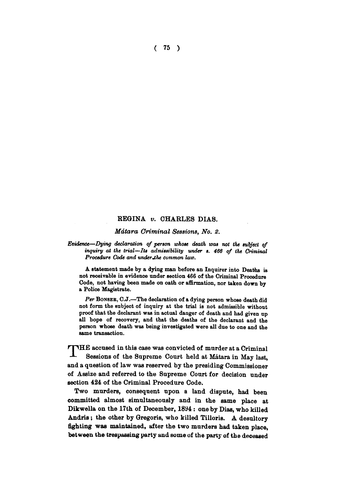**( 75 )** 

## **REGINA** *v.* **CHARLES DIAS.**

## *Mdtara Criminal Sessions, No. 2.*

*Evidence—Dying declaration of person whose death was not the subject of inquiry at the trial—Its admissibility under s. 466 of the Criminal Procedure Code and under Jthe common law.* 

A statement made by a dying man before an Inquirer into Deaths is not receivable in evidence under section 466 of the Criminal Procedure Code, not having been made on oath or affirmation, nor taken down by a Police Magistrate.

Per BONSEB, C.J.—The declaration of a dying person whose death did not form the subject of inquiry at the trial is not admissible without proof that the declarant was in actual danger of death and had given up all hope of recovery, and that the deaths of the declarant and the person whose death was being investigated were all due to one and the same transaction.

**ruhE** accused in this case was convicted of murder at a Criminal **- - Sessions of the Supreme Court held at Matara in May last, and a question of law was reserved by the presiding Commissioner of Assize and referred to the Supreme Court for decision under section 424 of the Criminal Procedure Code.** 

**Two murders, consequent upon a land dispute, had been committed almost simultaneously and in the same place at Dikwella on the 17th of December, 1894: one by Dias, who killed Andris; the other by Gregoris, who killed Tilloris. A desultory fighting was maintained, after the two murders had taken place, between the trespassing party and some of the party of the deceased**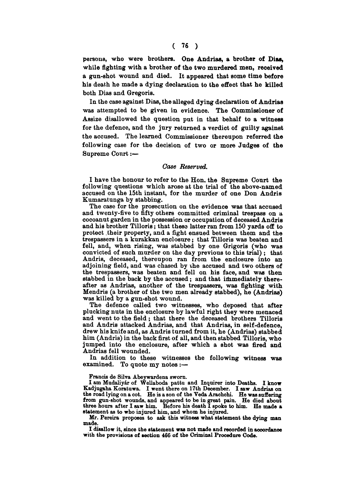**persons, who were brothers. One Andrias, a brother of Dias, while fighting with a brother of the two murdered men, received a gun-shot wound and died. It appeared that some time before his death he made a dying declaration to the effect that he killed both Dias and Gregoris,** 

**In the case against Dias, the alleged dying declaration of Andrias was attempted to be given in evidence. The Commissioner of Assize disallowed the question put in that behalf to a witness for the defence, and the jury returned a verdict of guilty against the accused. The learned Commissioner thereupon referred the following case for the decision of two or more Judges of the Supreme Court:—** 

## *Case Reserved.*

**I have the honour to refer to the Hon. the Supreme Court the following questions which arose at the trial of the above-named accused on the 15th instant, for the murder of one Don Andris Kumaratunga by stabbing.** 

**The case for the prosecution on the evidence was that accused and twenty-five to fifty others committed criminal trespass on a cocoanut garden in the possession or occupation of deceased Andris and his brother Tilloris; that these latter ran from 150 yards off to protect their property, and a fight ensued between them and the trespassers in a kurakkan enclosure; that Tilloris was beaten and fell, and, when rising, was stabbed by one Grigoris (who was convicted of such murder on the day previous to this trial) ; that Andris, deceased, thereupon ran from the enclosure into an adjoining field, and was chased by the accused and two others of the trespassers, was beaten and fell on his face, and was then stabbed in the back by the accused; and that immediately thereafter as Andrias, another of the trespassers, was fighting with Mendris (a brother of the two men already stabbed), he (Andrias) was killed by a gun-shot wound.** 

**The defence called two witnesses, who deposed that after plucking nuts in the enclosure by lawful right they were menaced and went to the field ; that there the deceased brothers Tilloris and Andris attacked Andrias, and that Andrias, in self-defence, drew his knife and, as Andris turned from it, he (Andrias) stabbed him (Andris) in the back first of all, and then stabbed Tilloris, who jumped into the enclosure, after which a shot was fired and Andrias fell wounded.** 

**In addition to these witnesses the following witness was examined. To quote my notes:—** 

Francis de Silva Abeywardens sworn.<br>I am Mudaliyár of Wellaboda pattu and Inquirer into Deaths. I know<br>Kadjugaha Koratuwa. I went there on 17th December. I saw Andrias on<br>the road lying on a cot. He is a son of the Veda Ar from gun-shot wounds, and appeared to be in great pain. He died about three hours after I saw him. Before his death I spoke to him. He made a statement as to who injured him, and whom he injured.

Mr. Pereira proposes to ask this witness what statement the dying man made.

I disallow it, since the statement was not made and recorded in accordance with the provisions of section 466 of the Criminal Procedure Code.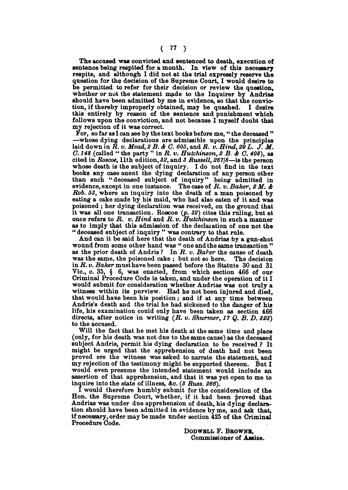**The accused was convicted and sentenced to death, execution of sentence being respited for a month. In view of this necessary respite, and although I did not at the trial expressly reserve the question for the decision of the Supreme Court, I would desire to be permitted to refer for their decision or review the question, whether or not the statement made to the Inquirer by Andrias should have been admitted by me in evidence, so that the conviction, if thereby improperly obtained, may be quashed. I desire this entirely by reason of the sentence and punishment which follows upon the conviction, and not because I myself doubt that my rejection of it was correct.** 

**For, so far as I can see by the text books before me," the deceased " —whose dying declarations are admissible upon the principles laid down in** *R. v. Mead, 2B.& C. 605,* **and** *R. v. Hind, 29 L. J. M. G. 148* **(called " the party " in** *R. v. Hutchinson, 2 B. & C. 408),* **as cited in** *Roscoe,* **11th edition,** *82,* **and** *3 Russell, 267J8***—is the person whose death is the subject of inquiry. I do not find in the text books any case anent the dying declaration of any person other than such "deceased subject of inquiry" being admitted in evidence, except in one instance. The case of** *R. v. Baker, 2 M. & Rob. 53,* **where an inquiry into the death of a man poisoned by eating a cake made by his maid, who had also eaten of it and was poisoned ; her dying declaration was received, on the ground that it was all one transaction. Roscoe** *(p. 32)* **cites this ruling, but at once refers to** *R. v. Hind* **and** *R. v. Hutchinson* **in such a manner as to imply that this admission of the declaiation of one not the " deceased subject of inquiry " was contrary to that rule.** 

**And can it be said here that the death of Andrias by a gun-shot wound from some other hand was " one and the same transaction " as the prior death of Andris ? In** *R. v. Baker* **the cause of death**  was the same, the poisoned cake; but not so here. **in** *R. v. Baker* **must have been passed before the Statute 30 and 31 Vic, c. 35, § 6, was enacted, from which section 466 of our Criminal Procedure Code is taken, and under the operation of it I would submit for consideration whether Andrias was not truly a witness within its purview. Had he not been injured and died,**  that would have been his position; and if at any time between **Andris's death and the trial he had sickened to the danger of his life, his examination could only have been taken as section 466**  directs, after notice in writing (R. v. Shurmer, 17 Q. B. D. 823) **to the accused.** 

**Will the fact that he met his death at the same time and place (only, for his death was not due to the same cause) as the deceased subject Andris, permit his dying declaration to be received ? It might be urged that the apprehension of death had not been proved ere the witness was asked to narrate the statement, and my rejection of the testimony might be supported thereon. But I would even presume the intended statement would include an assertion of that apprehension, and that it was yet open to me to inquire into the state of illness, Ac.** *(3 Russ. 266).* 

**I would therefore humbly submit for the consideration of the**  Hon. the Supreme Court, whether, if it had been proved that **Andrias was under due apprehension of death, his dying declaration should have been admitted in evidence by me, and ask that, if necessary, order may be made under section 425 of the Criminal Procedure Code.** 

> DODWBLL **F.** BBOWNB, **Commissioner of Assize.**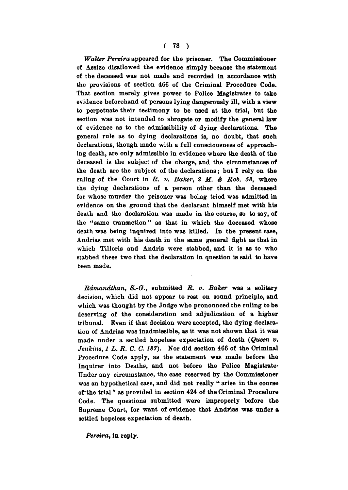## **( 78 )**

*Walter Pereira* **appeared for the prisoner. The Commissioner of Assize disallowed the evidence simply because the statement of the deceased was not made and recorded in accordance with the provisions of section 466 of the Criminal Procedure Code. That section merely gives power to Police Magistrates to take evidence beforehand of persons lying dangerously ill, with a view to perpetuate their testimony to be used at the trial, but the section was not intended to abrogate or modify the general law of evidence as to the admissibility of dying declarations. The general rule as to dying declarations is, no doubt, that such declarations, though made with a full consciousness of approaching death, are only admissible in evidence where the death of the deceased is the subject of the charge, and the circumstances of the death are the subject of the declarations; but I rely on the ruling of the Court in** *R. v. Baker, 2 M. A Rob. 53,* **where the dying declarations of a person other than the deceased for whose murder the prisoner was being tried was admitted in evidence on the ground that the declarant himself met with his death and the declaration was made in the course, so to say, of the "same transaction" as that in which the deceased whose death was being inquired into was killed. In the present case, Andrias met with his death in the same general fight as that in which Tilloris and Andris were stabbed, and it is as to who stabbed these two that the declaration in question is said to have been made.** 

*Rdmandthan, S.-O.,* **submitted** *R. v. Baker* **was a solitary decision, which did not appear to rest on sound principle, and which was thought by the Judge who pronounced the ruling to be deserving of the consideration and adjudication of a higher tribunal. Even if that decision were accepted, the dying declaration of Andrias was inadmissible, as it was not shown that it was made under a settled hopeless expectation of death** *{Queen v. Jenkins, 1 L. R. C. C. 187).* **Nor did section 466 of the Criminal Procedure Code apply, as the statement was made before the Inquirer into Deaths, and not before the Police Magistrate-Under any circumstance, the case reserved by the Commissioner was an hypothetical case, and did not really " arise in the course of\* the trial" as provided in section 424 of the Criminal Procedure Code. The questions submitted were improperly before the Supreme Court, for want of evidence that Andrias was under a settled hopeless expectation of death.** 

*Pereira,* **in reply.**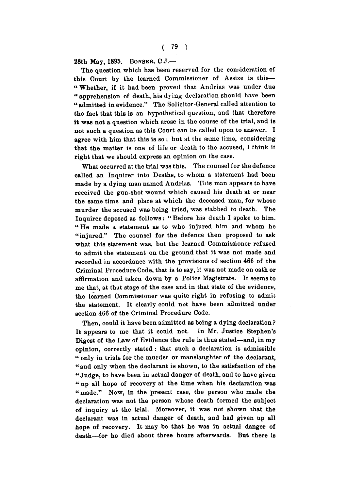**28th May, 1895. BONSER , C.J.—** 

**The question which has been reserved for the consideration of this Court by the learned Commissioner of Assize is this— " Whether, if it had been proved that Andrias was under due " apprehension of death, his dying declaration should have been "admitted in evidence." The Solicitor-General called attention to the fact that this is an hypothetical question, and that therefore it was not a question which arose in the course of the trial, and is not such a question as this Court can be called upon to answer. I agree with him that this is so ; but at the same time, considering that the matter is one of life or death to the accused, I think it right that we should express an opinion on the case.** 

**What occurred at the trial was this. The counsel for the defence called an Inquirer into Deaths, to whom a statement had been made by a dying man named Andrias. This man appears to have received the gun-shot wound which caused his death at or near the same time and place at which the deceased man, for whose murder the accused was being tried, was stabbed to death. The Inquirer deposed as follows: " Before his death I spoke to him. " He made a statement as to who injured him and whom he "injured." The counsel for the defence then proposed to ask what this statement was, but the learned Commissioner refused to admit the statement on the ground that it was not made and recorded in accordance with the provisions of section 466 of the Criminal Procedure Code, that is to say, it was not made on oath or affirmation and taken down by a Police Magistrate. It seems to me that, at that stage of the case and in that state of the evidence, the learned Commissioner was quite right in refusing to admit the statement. It clearly could not have been admitted under Bection 466 of the Criminal Procedure Code.** 

**Then, could it have been admitted as being a dying declaration ? It appears to me that it could not. In Mr. Justice Stephen's Digest of the Law of Evidence the rule is thus stated—and, in my opinion, correctly stated : that such a declaration is admissible " only in trials for the murder or manslaughter of the declarant, " and only when the declarant is shown, to the satisfaction of the " Judge, to have been in actual danger of death, and to have given " up all hope of recovery at the time when his declaration was "made." Now, in the present case, the person who made the declaration was not the person whose death formed the subject of inquiry at the trial. Moreover, it was not shown that the declarant was in actual danger of death, and had given up all hope of recovery. It may be that he was in actual danger of death—for he died about three hours afterwards. But there is**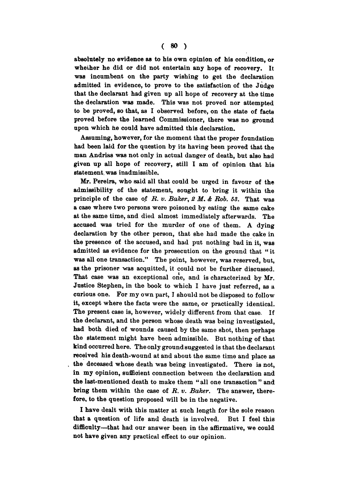**absolutely no evidence as to his own opinion of his condition, or wheiher he did or did not entertain any hope of recovery. It was incumbent on the party wishing to get the declaration admitted in evidence, to prove to the satisfaction of the Judge that the declarant had given up all hope of recovery at the time the declaration was made. This was not proved nor attempted to be proved, so that, as I observed before, on the state of facts proved before the learned Commissioner, there was no ground upon which he could have admitted this declaration.** 

**Assuming, however, for the moment that the proper foundation had been laid for the question by its having been proved that the man Andrias was not only in actual danger of death, but also had given up all hope of recovery, still I am of opinion that his statement, was inadmissible.** 

**Mr. Pereira, who said all that could be urged in favour of the admissibility of the statement, sought to bring it within the principle of the case of** *R. v. Balcer, 2 M. & Rob. 53.* **That was a case where two persons were poisoned by eating the same cake at the same time, and died almost immediately afterwards. The accused was tried for the murder of one of them. A dying declaration by the other person, that she had made the cake in the presence of the accused, and had put nothing bad in it, was admitted as evidence for the prosecution on the ground that " it was all one transaction." The point, however, was reserved, but, as the prisoner was acquitted, it could not be further discussed. That case was an exceptional one, and is characterized by Mr. Justice Stephen, in the book to which I have just referred, as a curious one. For my own part, I should not be disposed to follow it, except where the facts were the same, or practically identical. The present case is, however, widely different from that case. If the declarant, and the person whose death was being investigated, had both died of wounds caused by the same shot, then perhaps the statement might have been admissible. But nothing of that kind occurred here. The only ground suggested is that the declarant received his death-wound at and about the same time and place as the deceased whose death was being investigated. There is not, in my opinion, sufficient connection between the declaration and the last-mentioned death to make them " all one transaction " and bring them within the case of** *R. v. Baker.* **The answer, therefore, to the question proposed will be in the negative.** 

**I have dealt with this matter at such length for the sole reason that a question of life and death is involved. But I feel this difficulty—that had our answer been in the affirmative, we could not have given any practical effect to our opinion.**